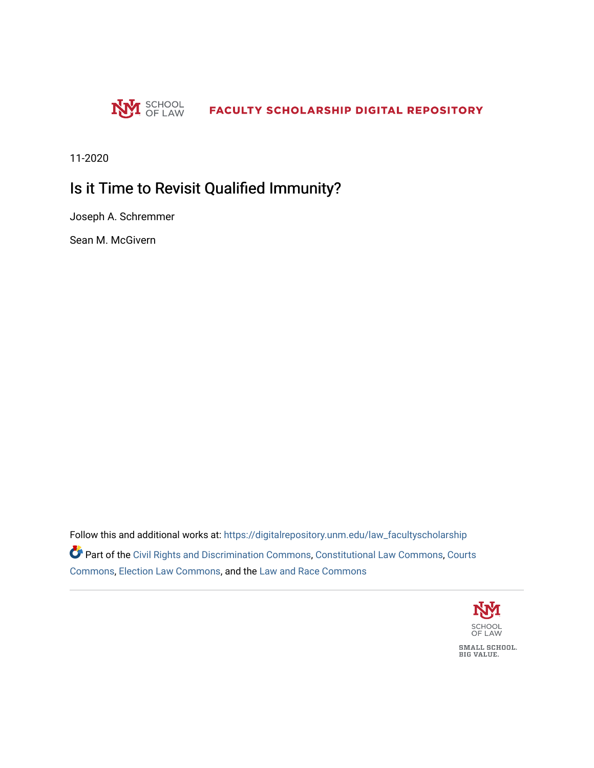

11-2020

## Is it Time to Revisit Qualified Immunity?

Joseph A. Schremmer

Sean M. McGivern

Follow this and additional works at: [https://digitalrepository.unm.edu/law\\_facultyscholarship](https://digitalrepository.unm.edu/law_facultyscholarship?utm_source=digitalrepository.unm.edu%2Flaw_facultyscholarship%2F857&utm_medium=PDF&utm_campaign=PDFCoverPages)  Part of the [Civil Rights and Discrimination Commons,](http://network.bepress.com/hgg/discipline/585?utm_source=digitalrepository.unm.edu%2Flaw_facultyscholarship%2F857&utm_medium=PDF&utm_campaign=PDFCoverPages) [Constitutional Law Commons,](http://network.bepress.com/hgg/discipline/589?utm_source=digitalrepository.unm.edu%2Flaw_facultyscholarship%2F857&utm_medium=PDF&utm_campaign=PDFCoverPages) [Courts](http://network.bepress.com/hgg/discipline/839?utm_source=digitalrepository.unm.edu%2Flaw_facultyscholarship%2F857&utm_medium=PDF&utm_campaign=PDFCoverPages) [Commons](http://network.bepress.com/hgg/discipline/839?utm_source=digitalrepository.unm.edu%2Flaw_facultyscholarship%2F857&utm_medium=PDF&utm_campaign=PDFCoverPages), [Election Law Commons,](http://network.bepress.com/hgg/discipline/1121?utm_source=digitalrepository.unm.edu%2Flaw_facultyscholarship%2F857&utm_medium=PDF&utm_campaign=PDFCoverPages) and the [Law and Race Commons](http://network.bepress.com/hgg/discipline/1300?utm_source=digitalrepository.unm.edu%2Flaw_facultyscholarship%2F857&utm_medium=PDF&utm_campaign=PDFCoverPages)

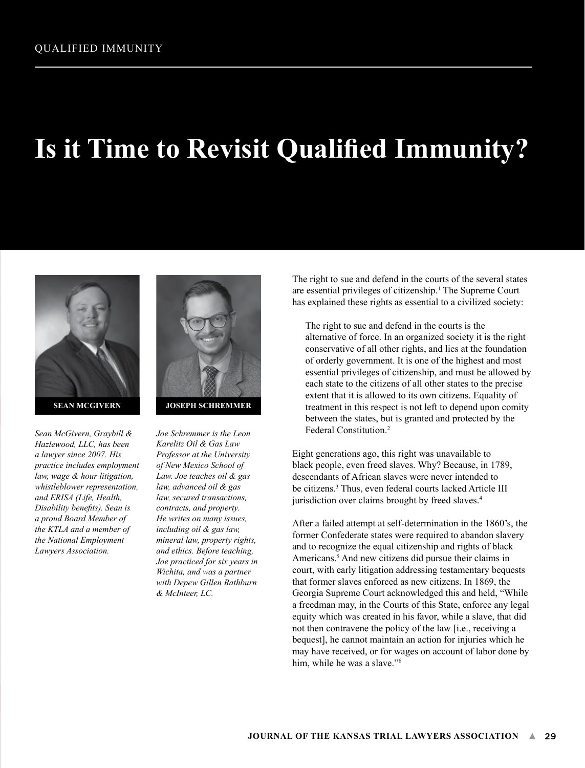## **Is it Time to Revisit Qualified Immunity?**



*Sean McGivern, Graybill & Hazlewood, LLC, has been a lawyer since 2007. His practice includes employment law, wage & hour litigation, whistleblower representation, and ERISA (Life, Health, Disability benefits). Sean is a proud Board Member of the KTLA and a member of the National Employment Lawyers Association.*



**JOSEPH SCHREMMER**

*Joe Schremmer is the Leon Karelitz Oil & Gas Law Professor at the University of New Mexico School of Law. Joe teaches oil & gas law, advanced oil & gas law, secured transactions, contracts, and property. He writes on many issues, including oil & gas law, mineral law, property rights, and ethics. Before teaching, Joe practiced for six years in Wichita, and was a partner with Depew Gillen Rathburn & McInteer, LC.*

The right to sue and defend in the courts of the several states are essential privileges of citizenship.<sup>1</sup> The Supreme Court has explained these rights as essential to a civilized society:

The right to sue and defend in the courts is the alternative of force. In an organized society it is the right conservative of all other rights, and lies at the foundation of orderly government. It is one of the highest and most essential privileges of citizenship, and must be allowed by each state to the citizens of all other states to the precise extent that it is allowed to its own citizens. Equality of treatment in this respect is not left to depend upon comity between the states, but is granted and protected by the Federal Constitution.2

Eight generations ago, this right was unavailable to black people, even freed slaves. Why? Because, in 1789, descendants of African slaves were never intended to be citizens.3 Thus, even federal courts lacked Article III jurisdiction over claims brought by freed slaves.<sup>4</sup>

After a failed attempt at self-determination in the 1860's, the former Confederate states were required to abandon slavery and to recognize the equal citizenship and rights of black Americans.<sup>5</sup> And new citizens did pursue their claims in court, with early litigation addressing testamentary bequests that former slaves enforced as new citizens. In 1869, the Georgia Supreme Court acknowledged this and held, "While a freedman may, in the Courts of this State, enforce any legal equity which was created in his favor, while a slave, that did not then contravene the policy of the law [i.e., receiving a bequest], he cannot maintain an action for injuries which he may have received, or for wages on account of labor done by him, while he was a slave."<sup>6</sup>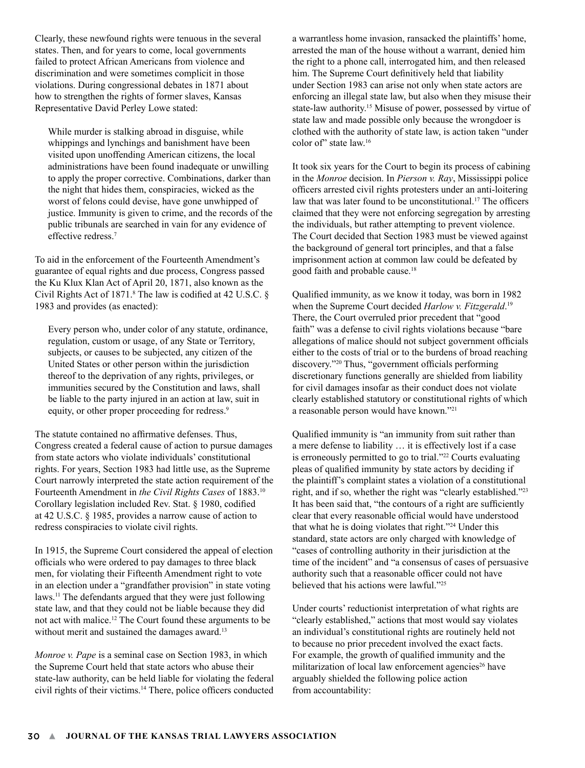Clearly, these newfound rights were tenuous in the several states. Then, and for years to come, local governments failed to protect African Americans from violence and discrimination and were sometimes complicit in those violations. During congressional debates in 1871 about how to strengthen the rights of former slaves, Kansas Representative David Perley Lowe stated:

While murder is stalking abroad in disguise, while whippings and lynchings and banishment have been visited upon unoffending American citizens, the local administrations have been found inadequate or unwilling to apply the proper corrective. Combinations, darker than the night that hides them, conspiracies, wicked as the worst of felons could devise, have gone unwhipped of justice. Immunity is given to crime, and the records of the public tribunals are searched in vain for any evidence of effective redress.7

To aid in the enforcement of the Fourteenth Amendment's guarantee of equal rights and due process, Congress passed the Ku Klux Klan Act of April 20, 1871, also known as the Civil Rights Act of 1871.<sup>8</sup> The law is codified at 42 U.S.C.  $\S$ 1983 and provides (as enacted):

Every person who, under color of any statute, ordinance, regulation, custom or usage, of any State or Territory, subjects, or causes to be subjected, any citizen of the United States or other person within the jurisdiction thereof to the deprivation of any rights, privileges, or immunities secured by the Constitution and laws, shall be liable to the party injured in an action at law, suit in equity, or other proper proceeding for redress.<sup>9</sup>

The statute contained no affirmative defenses. Thus, Congress created a federal cause of action to pursue damages from state actors who violate individuals' constitutional rights. For years, Section 1983 had little use, as the Supreme Court narrowly interpreted the state action requirement of the Fourteenth Amendment in *the Civil Rights Cases* of 1883.10 Corollary legislation included Rev. Stat. § 1980, codified at 42 U.S.C. § 1985, provides a narrow cause of action to redress conspiracies to violate civil rights.

In 1915, the Supreme Court considered the appeal of election officials who were ordered to pay damages to three black men, for violating their Fifteenth Amendment right to vote in an election under a "grandfather provision" in state voting laws.11 The defendants argued that they were just following state law, and that they could not be liable because they did not act with malice.12 The Court found these arguments to be without merit and sustained the damages award.<sup>13</sup>

*Monroe v. Pape* is a seminal case on Section 1983, in which the Supreme Court held that state actors who abuse their state-law authority, can be held liable for violating the federal civil rights of their victims.14 There, police officers conducted a warrantless home invasion, ransacked the plaintiffs' home, arrested the man of the house without a warrant, denied him the right to a phone call, interrogated him, and then released him. The Supreme Court definitively held that liability under Section 1983 can arise not only when state actors are enforcing an illegal state law, but also when they misuse their state-law authority.15 Misuse of power, possessed by virtue of state law and made possible only because the wrongdoer is clothed with the authority of state law, is action taken "under color of" state law.<sup>16</sup>

It took six years for the Court to begin its process of cabining in the *Monroe* decision. In *Pierson v. Ray*, Mississippi police officers arrested civil rights protesters under an anti-loitering law that was later found to be unconstitutional.<sup>17</sup> The officers claimed that they were not enforcing segregation by arresting the individuals, but rather attempting to prevent violence. The Court decided that Section 1983 must be viewed against the background of general tort principles, and that a false imprisonment action at common law could be defeated by good faith and probable cause.18

Qualified immunity, as we know it today, was born in 1982 when the Supreme Court decided *Harlow v. Fitzgerald*. 19 There, the Court overruled prior precedent that "good faith" was a defense to civil rights violations because "bare allegations of malice should not subject government officials either to the costs of trial or to the burdens of broad reaching discovery."20 Thus, "government officials performing discretionary functions generally are shielded from liability for civil damages insofar as their conduct does not violate clearly established statutory or constitutional rights of which a reasonable person would have known."21

Qualified immunity is "an immunity from suit rather than a mere defense to liability … it is effectively lost if a case is erroneously permitted to go to trial."<sup>22</sup> Courts evaluating pleas of qualified immunity by state actors by deciding if the plaintiff's complaint states a violation of a constitutional right, and if so, whether the right was "clearly established."23 It has been said that, "the contours of a right are sufficiently clear that every reasonable official would have understood that what he is doing violates that right."24 Under this standard, state actors are only charged with knowledge of "cases of controlling authority in their jurisdiction at the time of the incident" and "a consensus of cases of persuasive authority such that a reasonable officer could not have believed that his actions were lawful."25

Under courts' reductionist interpretation of what rights are "clearly established," actions that most would say violates an individual's constitutional rights are routinely held not to because no prior precedent involved the exact facts. For example, the growth of qualified immunity and the militarization of local law enforcement agencies<sup>26</sup> have arguably shielded the following police action from accountability: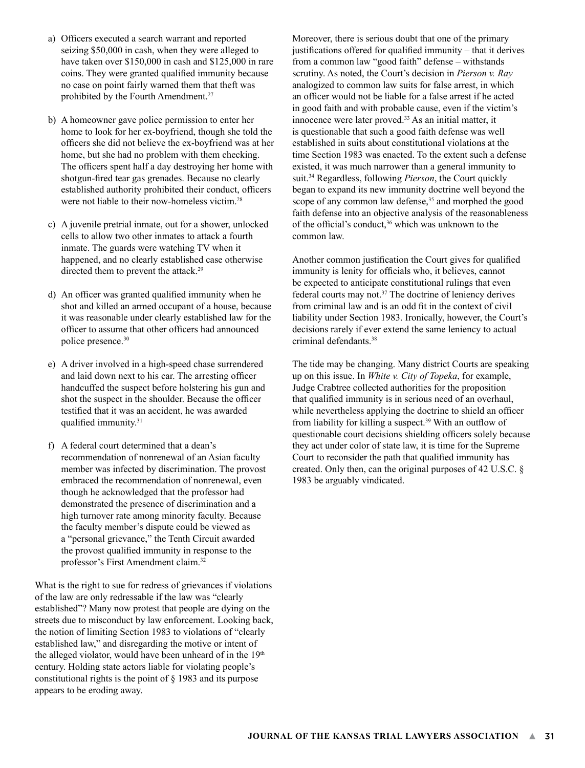- a) Officers executed a search warrant and reported seizing \$50,000 in cash, when they were alleged to have taken over \$150,000 in cash and \$125,000 in rare coins. They were granted qualified immunity because no case on point fairly warned them that theft was prohibited by the Fourth Amendment.27
- b) A homeowner gave police permission to enter her home to look for her ex-boyfriend, though she told the officers she did not believe the ex-boyfriend was at her home, but she had no problem with them checking. The officers spent half a day destroying her home with shotgun-fired tear gas grenades. Because no clearly established authority prohibited their conduct, officers were not liable to their now-homeless victim.<sup>28</sup>
- c) A juvenile pretrial inmate, out for a shower, unlocked cells to allow two other inmates to attack a fourth inmate. The guards were watching TV when it happened, and no clearly established case otherwise directed them to prevent the attack.<sup>29</sup>
- d) An officer was granted qualified immunity when he shot and killed an armed occupant of a house, because it was reasonable under clearly established law for the officer to assume that other officers had announced police presence.30
- e) A driver involved in a high-speed chase surrendered and laid down next to his car. The arresting officer handcuffed the suspect before holstering his gun and shot the suspect in the shoulder. Because the officer testified that it was an accident, he was awarded qualified immunity.<sup>31</sup>
- f) A federal court determined that a dean's recommendation of nonrenewal of an Asian faculty member was infected by discrimination. The provost embraced the recommendation of nonrenewal, even though he acknowledged that the professor had demonstrated the presence of discrimination and a high turnover rate among minority faculty. Because the faculty member's dispute could be viewed as a "personal grievance," the Tenth Circuit awarded the provost qualified immunity in response to the professor's First Amendment claim.32

What is the right to sue for redress of grievances if violations of the law are only redressable if the law was "clearly established"? Many now protest that people are dying on the streets due to misconduct by law enforcement. Looking back, the notion of limiting Section 1983 to violations of "clearly established law," and disregarding the motive or intent of the alleged violator, would have been unheard of in the 19<sup>th</sup> century. Holding state actors liable for violating people's constitutional rights is the point of § 1983 and its purpose appears to be eroding away.

Moreover, there is serious doubt that one of the primary justifications offered for qualified immunity – that it derives from a common law "good faith" defense – withstands scrutiny. As noted, the Court's decision in *Pierson v. Ray* analogized to common law suits for false arrest, in which an officer would not be liable for a false arrest if he acted in good faith and with probable cause, even if the victim's innocence were later proved.<sup>33</sup> As an initial matter, it is questionable that such a good faith defense was well established in suits about constitutional violations at the time Section 1983 was enacted. To the extent such a defense existed, it was much narrower than a general immunity to suit.34 Regardless, following *Pierson*, the Court quickly began to expand its new immunity doctrine well beyond the scope of any common law defense,<sup>35</sup> and morphed the good faith defense into an objective analysis of the reasonableness of the official's conduct,<sup>36</sup> which was unknown to the common law.

Another common justification the Court gives for qualified immunity is lenity for officials who, it believes, cannot be expected to anticipate constitutional rulings that even federal courts may not.37 The doctrine of leniency derives from criminal law and is an odd fit in the context of civil liability under Section 1983. Ironically, however, the Court's decisions rarely if ever extend the same leniency to actual criminal defendants.38

The tide may be changing. Many district Courts are speaking up on this issue. In *White v. City of Topeka*, for example, Judge Crabtree collected authorities for the proposition that qualified immunity is in serious need of an overhaul, while nevertheless applying the doctrine to shield an officer from liability for killing a suspect.39 With an outflow of questionable court decisions shielding officers solely because they act under color of state law, it is time for the Supreme Court to reconsider the path that qualified immunity has created. Only then, can the original purposes of 42 U.S.C. § 1983 be arguably vindicated.